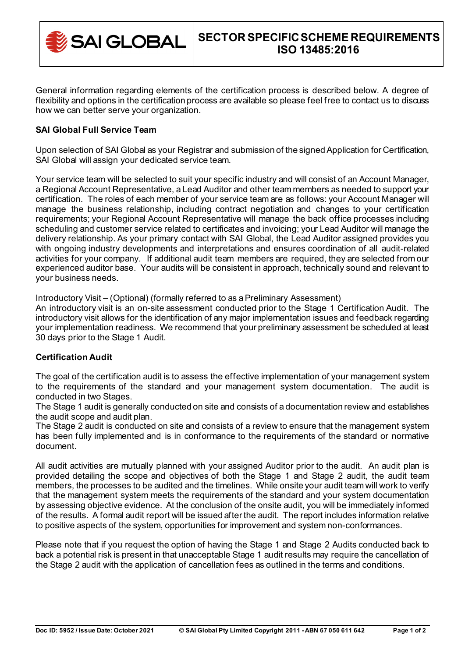

General information regarding elements of the certification process is described below. A degree of flexibility and options in the certification process are available so please feel free to contact us to discuss how we can better serve your organization.

# **SAI Global Full Service Team**

Upon selection of SAI Global as your Registrar and submission of the signed Application for Certification, SAI Global will assign your dedicated service team.

Your service team will be selected to suit your specific industry and will consist of an Account Manager, a Regional Account Representative, a Lead Auditor and other team members as needed to support your certification. The roles of each member of your service team are as follows: your Account Manager will manage the business relationship, including contract negotiation and changes to your certification requirements; your Regional Account Representative will manage the back office processes including scheduling and customer service related to certificates and invoicing; your Lead Auditor will manage the delivery relationship. As your primary contact with SAI Global, the Lead Auditor assigned provides you with ongoing industry developments and interpretations and ensures coordination of all audit-related activities for your company. If additional audit team members are required, they are selected from our experienced auditor base. Your audits will be consistent in approach, technically sound and relevant to your business needs.

Introductory Visit – (Optional) (formally referred to as a Preliminary Assessment)

An introductory visit is an on-site assessment conducted prior to the Stage 1 Certification Audit. The introductory visit allows for the identification of any major implementation issues and feedback regarding your implementation readiness. We recommend that your preliminary assessment be scheduled at least 30 days prior to the Stage 1 Audit.

# **Certification Audit**

The goal of the certification audit is to assess the effective implementation of your management system to the requirements of the standard and your management system documentation. The audit is conducted in two Stages.

The Stage 1 audit is generally conducted on site and consists of a documentation review and establishes the audit scope and audit plan.

The Stage 2 audit is conducted on site and consists of a review to ensure that the management system has been fully implemented and is in conformance to the requirements of the standard or normative document.

All audit activities are mutually planned with your assigned Auditor prior to the audit. An audit plan is provided detailing the scope and objectives of both the Stage 1 and Stage 2 audit, the audit team members, the processes to be audited and the timelines. While onsite your audit team will work to verify that the management system meets the requirements of the standard and your system documentation by assessing objective evidence. At the conclusion of the onsite audit, you will be immediately informed of the results. A formal audit report will be issued after the audit. The report includes information relative to positive aspects of the system, opportunities for improvement and system non-conformances.

Please note that if you request the option of having the Stage 1 and Stage 2 Audits conducted back to back a potential risk is present in that unacceptable Stage 1 audit results may require the cancellation of the Stage 2 audit with the application of cancellation fees as outlined in the terms and conditions.